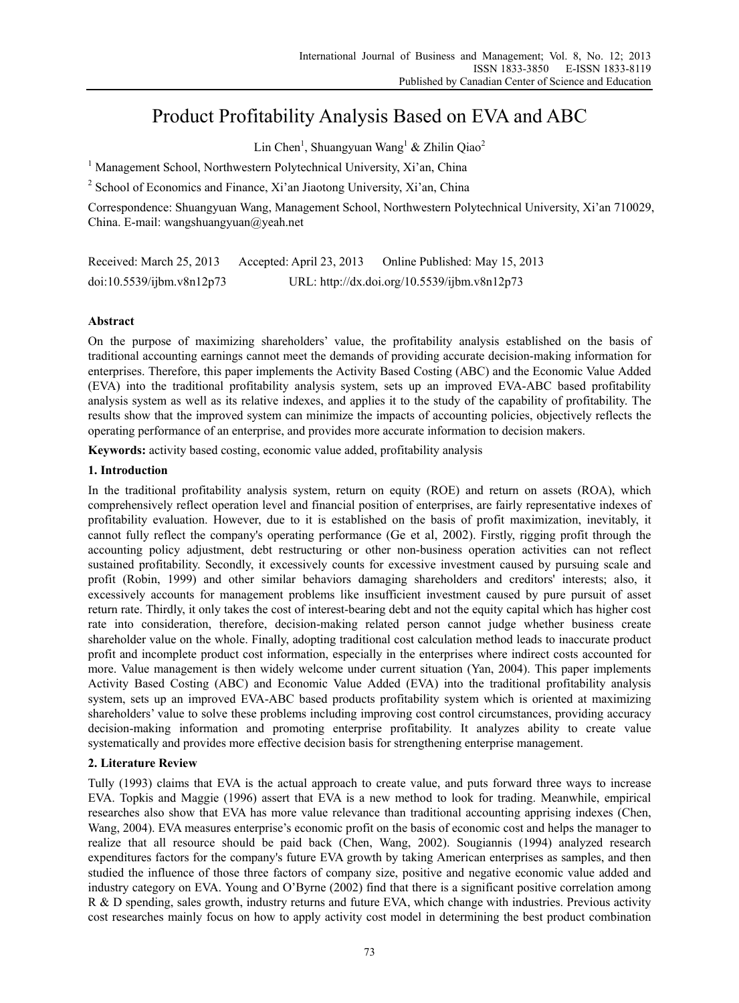# Product Profitability Analysis Based on EVA and ABC

Lin Chen<sup>1</sup>, Shuangyuan Wang<sup>1</sup> & Zhilin Qiao<sup>2</sup>

<sup>1</sup> Management School, Northwestern Polytechnical University, Xi'an, China

<sup>2</sup> School of Economics and Finance, Xi'an Jiaotong University, Xi'an, China

Correspondence: Shuangyuan Wang, Management School, Northwestern Polytechnical University, Xi'an 710029, China. E-mail: wangshuangyuan@yeah.net

Received: March 25, 2013 Accepted: April 23, 2013 Online Published: May 15, 2013 doi:10.5539/ijbm.v8n12p73 URL: http://dx.doi.org/10.5539/ijbm.v8n12p73

# **Abstract**

On the purpose of maximizing shareholders' value, the profitability analysis established on the basis of traditional accounting earnings cannot meet the demands of providing accurate decision-making information for enterprises. Therefore, this paper implements the Activity Based Costing (ABC) and the Economic Value Added (EVA) into the traditional profitability analysis system, sets up an improved EVA-ABC based profitability analysis system as well as its relative indexes, and applies it to the study of the capability of profitability. The results show that the improved system can minimize the impacts of accounting policies, objectively reflects the operating performance of an enterprise, and provides more accurate information to decision makers.

**Keywords:** activity based costing, economic value added, profitability analysis

# **1. Introduction**

In the traditional profitability analysis system, return on equity (ROE) and return on assets (ROA), which comprehensively reflect operation level and financial position of enterprises, are fairly representative indexes of profitability evaluation. However, due to it is established on the basis of profit maximization, inevitably, it cannot fully reflect the company's operating performance (Ge et al, 2002). Firstly, rigging profit through the accounting policy adjustment, debt restructuring or other non-business operation activities can not reflect sustained profitability. Secondly, it excessively counts for excessive investment caused by pursuing scale and profit (Robin, 1999) and other similar behaviors damaging shareholders and creditors' interests; also, it excessively accounts for management problems like insufficient investment caused by pure pursuit of asset return rate. Thirdly, it only takes the cost of interest-bearing debt and not the equity capital which has higher cost rate into consideration, therefore, decision-making related person cannot judge whether business create shareholder value on the whole. Finally, adopting traditional cost calculation method leads to inaccurate product profit and incomplete product cost information, especially in the enterprises where indirect costs accounted for more. Value management is then widely welcome under current situation (Yan, 2004). This paper implements Activity Based Costing (ABC) and Economic Value Added (EVA) into the traditional profitability analysis system, sets up an improved EVA-ABC based products profitability system which is oriented at maximizing shareholders' value to solve these problems including improving cost control circumstances, providing accuracy decision-making information and promoting enterprise profitability. It analyzes ability to create value systematically and provides more effective decision basis for strengthening enterprise management.

# **2. Literature Review**

Tully (1993) claims that EVA is the actual approach to create value, and puts forward three ways to increase EVA. Topkis and Maggie (1996) assert that EVA is a new method to look for trading. Meanwhile, empirical researches also show that EVA has more value relevance than traditional accounting apprising indexes (Chen, Wang, 2004). EVA measures enterprise's economic profit on the basis of economic cost and helps the manager to realize that all resource should be paid back (Chen, Wang, 2002). Sougiannis (1994) analyzed research expenditures factors for the company's future EVA growth by taking American enterprises as samples, and then studied the influence of those three factors of company size, positive and negative economic value added and industry category on EVA. Young and O'Byrne (2002) find that there is a significant positive correlation among R & D spending, sales growth, industry returns and future EVA, which change with industries. Previous activity cost researches mainly focus on how to apply activity cost model in determining the best product combination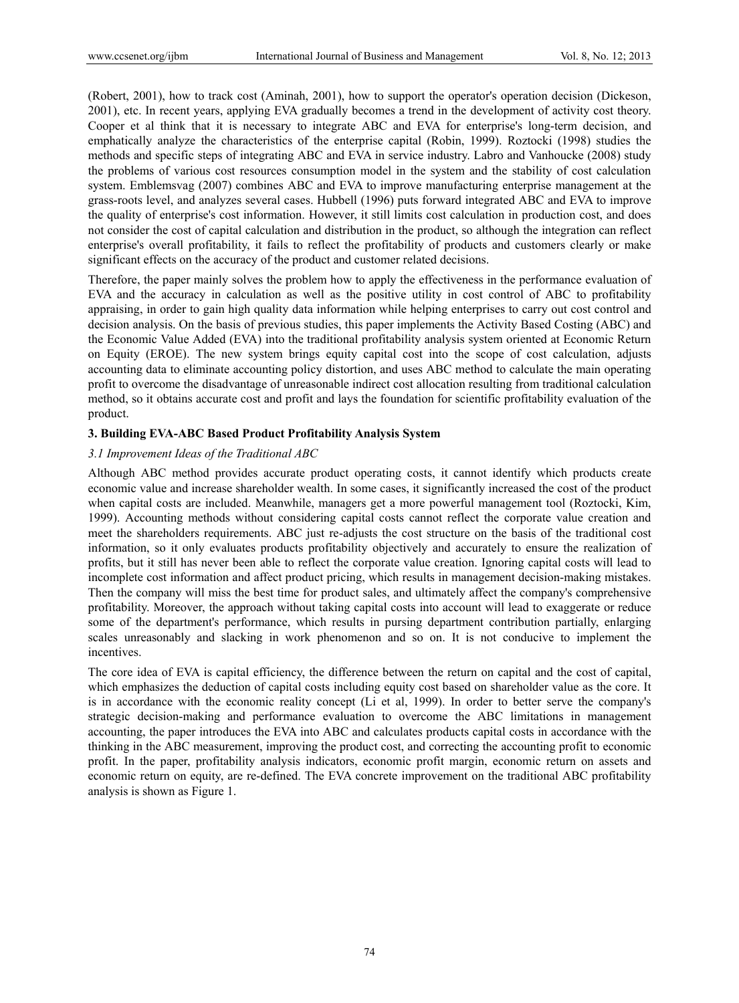(Robert, 2001), how to track cost (Aminah, 2001), how to support the operator's operation decision (Dickeson, 2001), etc. In recent years, applying EVA gradually becomes a trend in the development of activity cost theory. Cooper et al think that it is necessary to integrate ABC and EVA for enterprise's long-term decision, and emphatically analyze the characteristics of the enterprise capital (Robin, 1999). Roztocki (1998) studies the methods and specific steps of integrating ABC and EVA in service industry. Labro and Vanhoucke (2008) study the problems of various cost resources consumption model in the system and the stability of cost calculation system. Emblemsvag (2007) combines ABC and EVA to improve manufacturing enterprise management at the grass-roots level, and analyzes several cases. Hubbell (1996) puts forward integrated ABC and EVA to improve the quality of enterprise's cost information. However, it still limits cost calculation in production cost, and does not consider the cost of capital calculation and distribution in the product, so although the integration can reflect enterprise's overall profitability, it fails to reflect the profitability of products and customers clearly or make significant effects on the accuracy of the product and customer related decisions.

Therefore, the paper mainly solves the problem how to apply the effectiveness in the performance evaluation of EVA and the accuracy in calculation as well as the positive utility in cost control of ABC to profitability appraising, in order to gain high quality data information while helping enterprises to carry out cost control and decision analysis. On the basis of previous studies, this paper implements the Activity Based Costing (ABC) and the Economic Value Added (EVA) into the traditional profitability analysis system oriented at Economic Return on Equity (EROE). The new system brings equity capital cost into the scope of cost calculation, adjusts accounting data to eliminate accounting policy distortion, and uses ABC method to calculate the main operating profit to overcome the disadvantage of unreasonable indirect cost allocation resulting from traditional calculation method, so it obtains accurate cost and profit and lays the foundation for scientific profitability evaluation of the product.

# **3. Building EVA-ABC Based Product Profitability Analysis System**

## *3.1 Improvement Ideas of the Traditional ABC*

Although ABC method provides accurate product operating costs, it cannot identify which products create economic value and increase shareholder wealth. In some cases, it significantly increased the cost of the product when capital costs are included. Meanwhile, managers get a more powerful management tool (Roztocki, Kim, 1999). Accounting methods without considering capital costs cannot reflect the corporate value creation and meet the shareholders requirements. ABC just re-adjusts the cost structure on the basis of the traditional cost information, so it only evaluates products profitability objectively and accurately to ensure the realization of profits, but it still has never been able to reflect the corporate value creation. Ignoring capital costs will lead to incomplete cost information and affect product pricing, which results in management decision-making mistakes. Then the company will miss the best time for product sales, and ultimately affect the company's comprehensive profitability. Moreover, the approach without taking capital costs into account will lead to exaggerate or reduce some of the department's performance, which results in pursing department contribution partially, enlarging scales unreasonably and slacking in work phenomenon and so on. It is not conducive to implement the incentives.

The core idea of EVA is capital efficiency, the difference between the return on capital and the cost of capital, which emphasizes the deduction of capital costs including equity cost based on shareholder value as the core. It is in accordance with the economic reality concept (Li et al, 1999). In order to better serve the company's strategic decision-making and performance evaluation to overcome the ABC limitations in management accounting, the paper introduces the EVA into ABC and calculates products capital costs in accordance with the thinking in the ABC measurement, improving the product cost, and correcting the accounting profit to economic profit. In the paper, profitability analysis indicators, economic profit margin, economic return on assets and economic return on equity, are re-defined. The EVA concrete improvement on the traditional ABC profitability analysis is shown as Figure 1.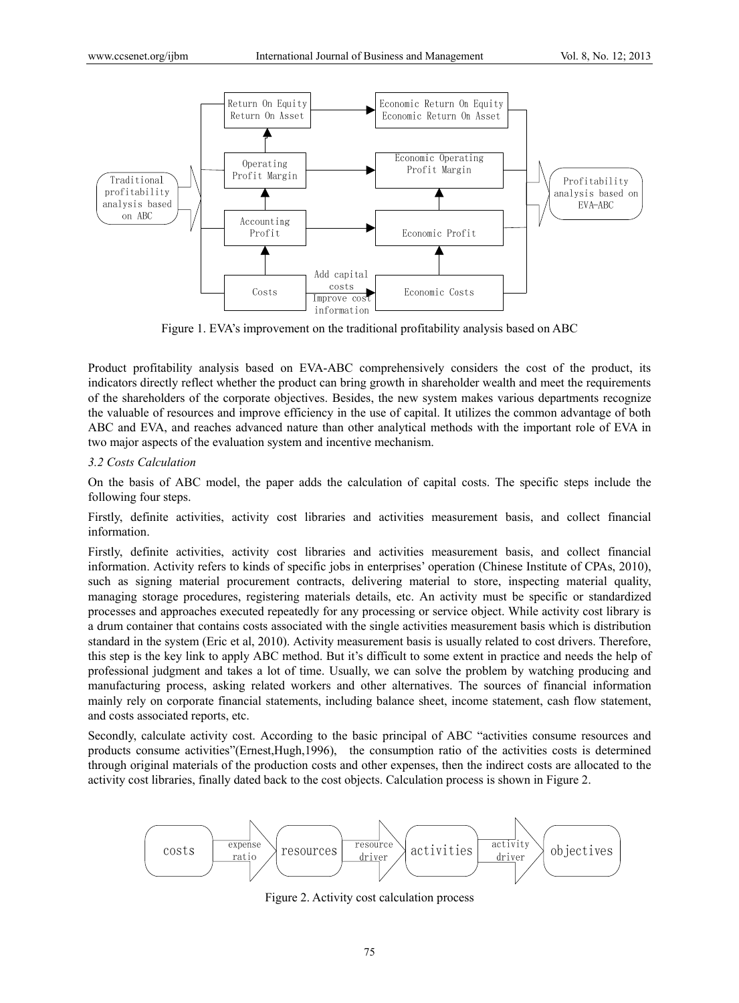

Figure 1. EVA's improvement on the traditional profitability analysis based on ABC

Product profitability analysis based on EVA-ABC comprehensively considers the cost of the product, its indicators directly reflect whether the product can bring growth in shareholder wealth and meet the requirements of the shareholders of the corporate objectives. Besides, the new system makes various departments recognize the valuable of resources and improve efficiency in the use of capital. It utilizes the common advantage of both ABC and EVA, and reaches advanced nature than other analytical methods with the important role of EVA in two major aspects of the evaluation system and incentive mechanism.

## *3.2 Costs Calculation*

On the basis of ABC model, the paper adds the calculation of capital costs. The specific steps include the following four steps.

Firstly, definite activities, activity cost libraries and activities measurement basis, and collect financial information.

Firstly, definite activities, activity cost libraries and activities measurement basis, and collect financial information. Activity refers to kinds of specific jobs in enterprises' operation (Chinese Institute of CPAs, 2010), such as signing material procurement contracts, delivering material to store, inspecting material quality, managing storage procedures, registering materials details, etc. An activity must be specific or standardized processes and approaches executed repeatedly for any processing or service object. While activity cost library is a drum container that contains costs associated with the single activities measurement basis which is distribution standard in the system (Eric et al, 2010). Activity measurement basis is usually related to cost drivers. Therefore, this step is the key link to apply ABC method. But it's difficult to some extent in practice and needs the help of professional judgment and takes a lot of time. Usually, we can solve the problem by watching producing and manufacturing process, asking related workers and other alternatives. The sources of financial information mainly rely on corporate financial statements, including balance sheet, income statement, cash flow statement, and costs associated reports, etc.

Secondly, calculate activity cost. According to the basic principal of ABC "activities consume resources and products consume activities"(Ernest,Hugh,1996), the consumption ratio of the activities costs is determined through original materials of the production costs and other expenses, then the indirect costs are allocated to the activity cost libraries, finally dated back to the cost objects. Calculation process is shown in Figure 2.



Figure 2. Activity cost calculation process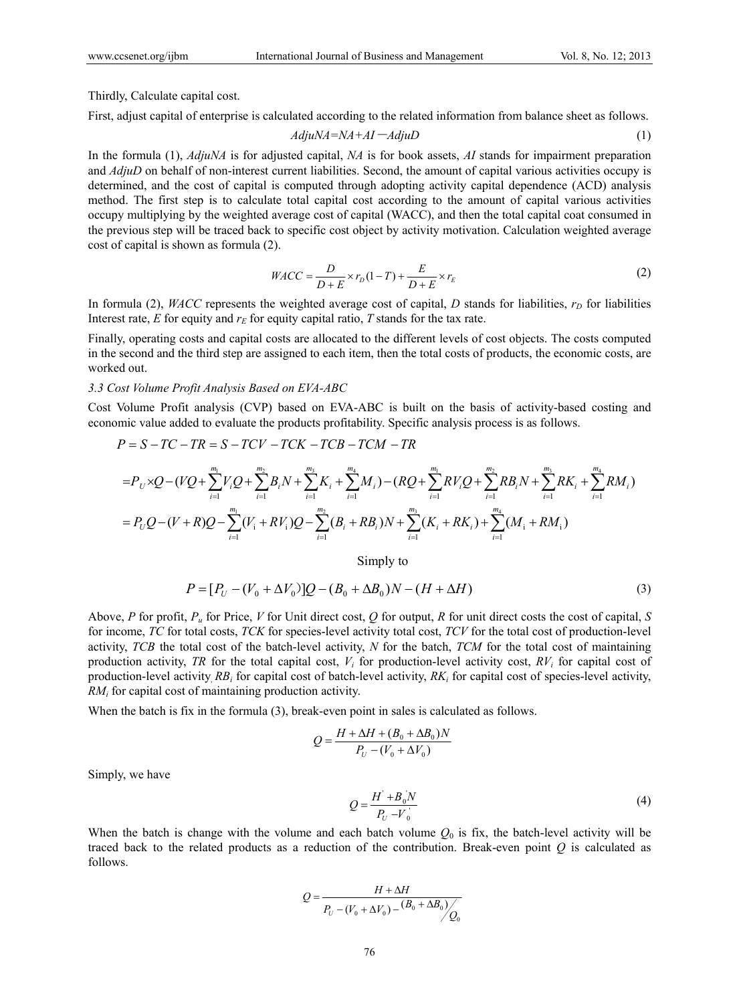Thirdly, Calculate capital cost.

First, adjust capital of enterprise is calculated according to the related information from balance sheet as follows.

$$
AdjuNA = NA + AI - AdjuD \tag{1}
$$

In the formula (1), *AdjuNA* is for adjusted capital, *NA* is for book assets, *AI* stands for impairment preparation and *AdjuD* on behalf of non-interest current liabilities. Second, the amount of capital various activities occupy is determined, and the cost of capital is computed through adopting activity capital dependence (ACD) analysis method. The first step is to calculate total capital cost according to the amount of capital various activities occupy multiplying by the weighted average cost of capital (WACC), and then the total capital coat consumed in the previous step will be traced back to specific cost object by activity motivation. Calculation weighted average cost of capital is shown as formula (2).

$$
WACC = \frac{D}{D+E} \times r_D (1-T) + \frac{E}{D+E} \times r_E
$$
\n(2)

In formula (2), *WACC* represents the weighted average cost of capital, *D* stands for liabilities,  $r<sub>D</sub>$  for liabilities Interest rate,  $E$  for equity and  $r_E$  for equity capital ratio,  $T$  stands for the tax rate.

Finally, operating costs and capital costs are allocated to the different levels of cost objects. The costs computed in the second and the third step are assigned to each item, then the total costs of products, the economic costs, are worked out.

#### *3.3 Cost Volume Profit Analysis Based on EVA-ABC*

Cost Volume Profit analysis (CVP) based on EVA-ABC is built on the basis of activity-based costing and economic value added to evaluate the products profitability. Specific analysis process is as follows.

$$
P = S - TC - TR = S - TCV - TCK - TCB - TCM - TR
$$
\n
$$
= P_U \times Q - (VQ + \sum_{i=1}^{m_1} V_iQ + \sum_{i=1}^{m_2} B_iN + \sum_{i=1}^{m_3} K_i + \sum_{i=1}^{m_4} M_i) - (RQ + \sum_{i=1}^{m_1} RV_iQ + \sum_{i=1}^{m_2} RB_iN + \sum_{i=1}^{m_3} RK_i + \sum_{i=1}^{m_4} RM_i)
$$
\n
$$
= P_UQ - (V + R)Q - \sum_{i=1}^{m_1} (V_i + RV_i)Q - \sum_{i=1}^{m_2} (B_i + RB_i)N + \sum_{i=1}^{m_3} (K_i + RK_i) + \sum_{i=1}^{m_4} (M_i + RM_i)
$$

Simply to

$$
P = [P_U - (V_0 + \Delta V_0)]Q - (B_0 + \Delta B_0)N - (H + \Delta H)
$$
\n(3)

Above, *P* for profit, *Pu* for Price, *V* for Unit direct cost, *Q* for output, *R* for unit direct costs the cost of capital, *S*  for income, *TC* for total costs, *TCK* for species-level activity total cost, *TCV* for the total cost of production-level activity, *TCB* the total cost of the batch-level activity, *N* for the batch, *TCM* for the total cost of maintaining production activity, *TR* for the total capital cost,  $V_i$  for production-level activity cost,  $RV_i$  for capital cost of production-level activity*, RBi* for capital cost of batch-level activity, *RKi* for capital cost of species-level activity, *RMi* for capital cost of maintaining production activity.

When the batch is fix in the formula (3), break-even point in sales is calculated as follows.

$$
Q = \frac{H + \Delta H + (B_0 + \Delta B_0)N}{P_U - (V_0 + \Delta V_0)}
$$

Simply, we have

$$
Q = \frac{H' + B_0 N}{P_U - V_0}
$$
 (4)

When the batch is change with the volume and each batch volume  $Q_0$  is fix, the batch-level activity will be traced back to the related products as a reduction of the contribution. Break-even point  $Q$  is calculated as follows.

$$
Q = \frac{H + \Delta H}{P_U - (V_0 + \Delta V_0) - (B_0 + \Delta B_0) / Q_0}
$$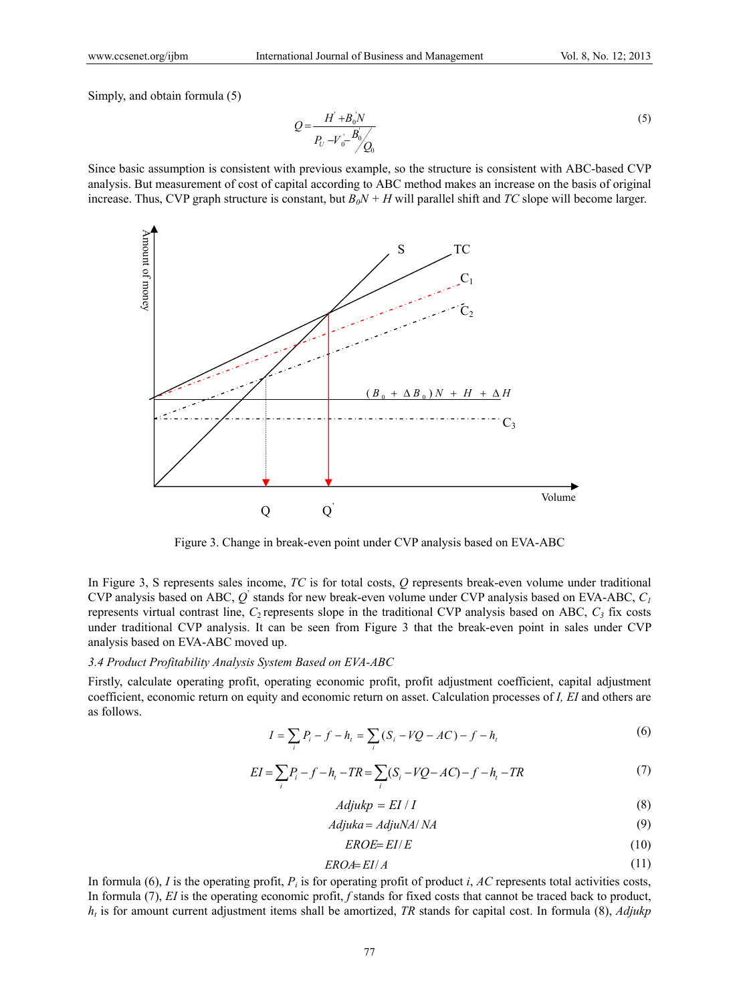Simply, and obtain formula (5)

$$
Q = \frac{H^{'} + B_0 N}{P_U - V_0 - B_0 / Q_0}
$$
\n(5)

Since basic assumption is consistent with previous example, so the structure is consistent with ABC-based CVP analysis. But measurement of cost of capital according to ABC method makes an increase on the basis of original increase. Thus, CVP graph structure is constant, but  $B_0N + H$  will parallel shift and *TC* slope will become larger.



Figure 3. Change in break-even point under CVP analysis based on EVA-ABC

In Figure 3, S represents sales income, *TC* is for total costs, *Q* represents break-even volume under traditional CVP analysis based on ABC,  $Q$ <sup>'</sup> stands for new break-even volume under CVP analysis based on EVA-ABC,  $C_I$ represents virtual contrast line,  $C_2$  represents slope in the traditional CVP analysis based on ABC,  $C_3$  fix costs under traditional CVP analysis. It can be seen from Figure 3 that the break-even point in sales under CVP analysis based on EVA-ABC moved up.

#### *3.4 Product Profitability Analysis System Based on EVA-ABC*

Firstly, calculate operating profit, operating economic profit, profit adjustment coefficient, capital adjustment coefficient, economic return on equity and economic return on asset. Calculation processes of *I, EI* and others are as follows.

$$
I = \sum_{i} P_{i} - f - h_{i} = \sum_{i} (S_{i} - VQ - AC) - f - h_{i}
$$
 (6)

$$
EI = \sum_{i} P_i - f - h_i - TR = \sum_{i} (S_i - VQ - AC) - f - h_i - TR
$$
\n(7)

$$
Adjukp = EI / I \tag{8}
$$

$$
Adjuka = AdjuNA/NA \tag{9}
$$

$$
EROE = EI/E \tag{10}
$$

$$
ERO \neq EI/A \tag{11}
$$

In formula (6),  $I$  is the operating profit,  $P_i$  is for operating profit of product  $i$ ,  $AC$  represents total activities costs, In formula (7), *EI* is the operating economic profit, *f* stands for fixed costs that cannot be traced back to product,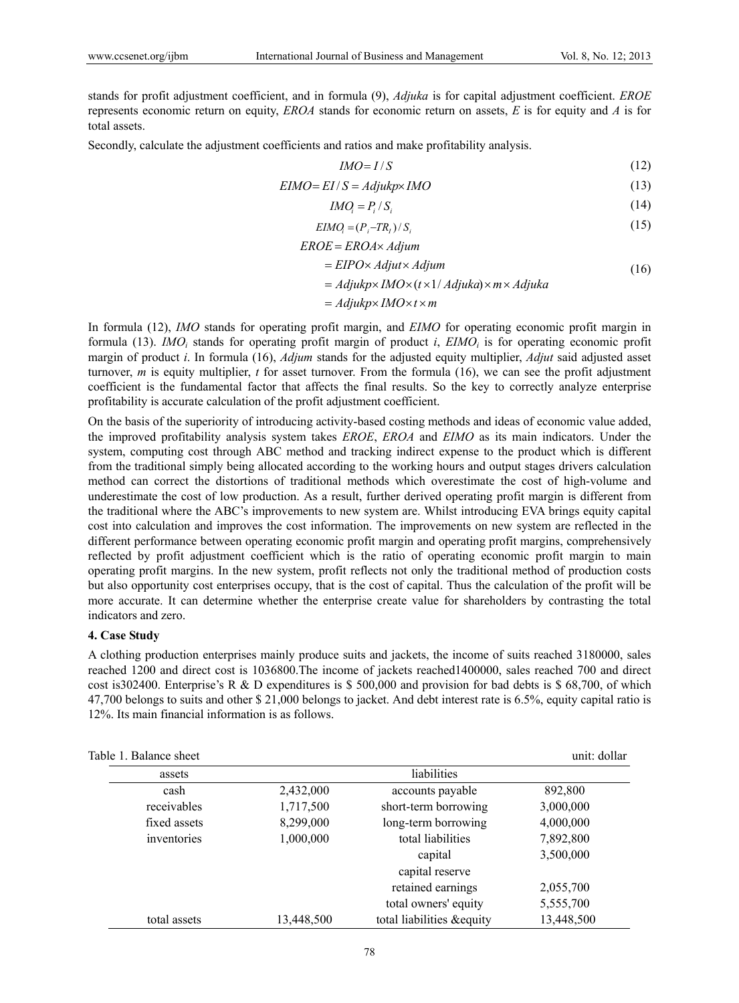stands for profit adjustment coefficient, and in formula (9), *Adjuka* is for capital adjustment coefficient. *EROE*  represents economic return on equity, *EROA* stands for economic return on assets, *E* is for equity and *A* is for total assets.

Secondly, calculate the adjustment coefficients and ratios and make profitability analysis.

$$
IMO = I/S \tag{12}
$$

$$
EIMO = EI/S = AdjukpxIMO
$$
 (13)

$$
IMO_i = P_i / S_i \tag{14}
$$

$$
EIMOi = (Pi - TRi) / Si
$$
\n(15)

$$
EROE = EROA \times Adjum
$$

$$
= EIPO \times Adjut \times Adjum \tag{16}
$$

 $=$  *Adjukp*× *IMO* × (*t* × 1/ *Adjuka*) × *m* × *Adjuka* 

$$
= Adjukp \times IMO \times t \times m
$$

In formula (12), *IMO* stands for operating profit margin, and *EIMO* for operating economic profit margin in formula (13). *IMO<sub>i</sub>* stands for operating profit margin of product *i*, *EIMO<sub>i</sub>* is for operating economic profit margin of product *i*. In formula (16), *Adjum* stands for the adjusted equity multiplier, *Adjut* said adjusted asset turnover, *m* is equity multiplier, *t* for asset turnover. From the formula (16), we can see the profit adjustment coefficient is the fundamental factor that affects the final results. So the key to correctly analyze enterprise profitability is accurate calculation of the profit adjustment coefficient.

On the basis of the superiority of introducing activity-based costing methods and ideas of economic value added, the improved profitability analysis system takes *EROE*, *EROA* and *EIMO* as its main indicators. Under the system, computing cost through ABC method and tracking indirect expense to the product which is different from the traditional simply being allocated according to the working hours and output stages drivers calculation method can correct the distortions of traditional methods which overestimate the cost of high-volume and underestimate the cost of low production. As a result, further derived operating profit margin is different from the traditional where the ABC's improvements to new system are. Whilst introducing EVA brings equity capital cost into calculation and improves the cost information. The improvements on new system are reflected in the different performance between operating economic profit margin and operating profit margins, comprehensively reflected by profit adjustment coefficient which is the ratio of operating economic profit margin to main operating profit margins. In the new system, profit reflects not only the traditional method of production costs but also opportunity cost enterprises occupy, that is the cost of capital. Thus the calculation of the profit will be more accurate. It can determine whether the enterprise create value for shareholders by contrasting the total indicators and zero.

## **4. Case Study**

A clothing production enterprises mainly produce suits and jackets, the income of suits reached 3180000, sales reached 1200 and direct cost is 1036800.The income of jackets reached1400000, sales reached 700 and direct cost is302400. Enterprise's R & D expenditures is \$ 500,000 and provision for bad debts is \$ 68,700, of which 47,700 belongs to suits and other \$ 21,000 belongs to jacket. And debt interest rate is 6.5%, equity capital ratio is 12%. Its main financial information is as follows.

| Table 1. Balance sheet |            |                            | unit: dollar |  |  |  |  |
|------------------------|------------|----------------------------|--------------|--|--|--|--|
| assets                 |            | liabilities                |              |  |  |  |  |
| cash                   | 2,432,000  | accounts payable           | 892,800      |  |  |  |  |
| receivables            | 1,717,500  | short-term borrowing       | 3,000,000    |  |  |  |  |
| fixed assets           | 8,299,000  | long-term borrowing        | 4,000,000    |  |  |  |  |
| inventories            | 1,000,000  | total liabilities          | 7,892,800    |  |  |  |  |
|                        |            | capital                    | 3,500,000    |  |  |  |  |
|                        |            | capital reserve            |              |  |  |  |  |
|                        |            | retained earnings          | 2,055,700    |  |  |  |  |
|                        |            | total owners' equity       | 5,555,700    |  |  |  |  |
| total assets           | 13,448,500 | total liabilities & equity | 13,448,500   |  |  |  |  |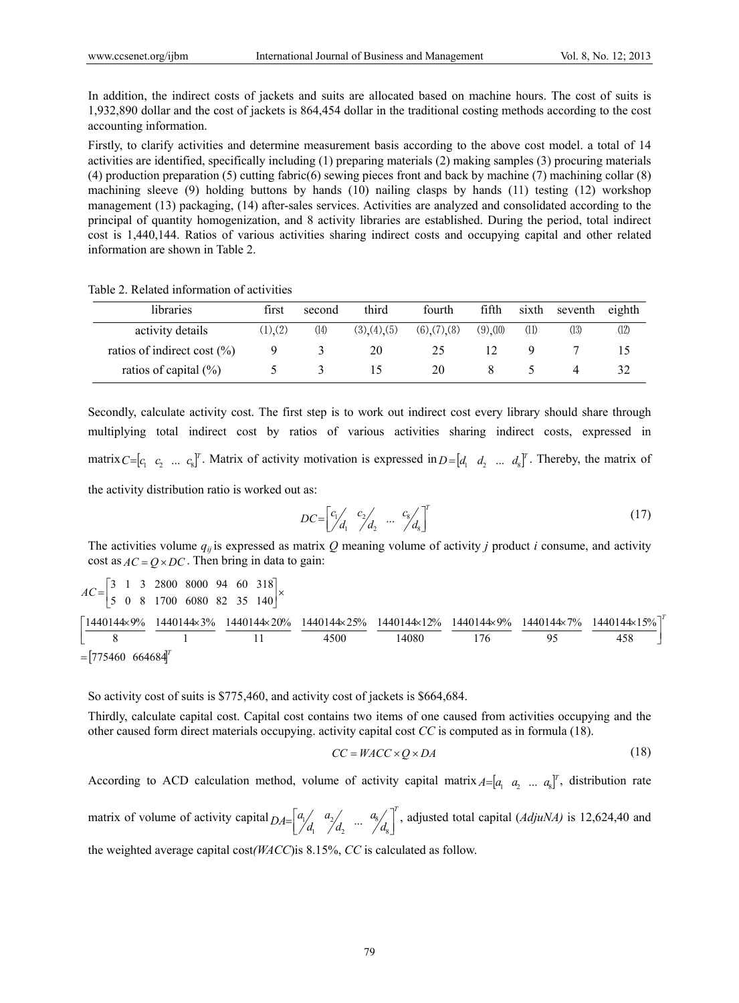In addition, the indirect costs of jackets and suits are allocated based on machine hours. The cost of suits is 1,932,890 dollar and the cost of jackets is 864,454 dollar in the traditional costing methods according to the cost accounting information.

Firstly, to clarify activities and determine measurement basis according to the above cost model. a total of 14 activities are identified, specifically including (1) preparing materials (2) making samples (3) procuring materials (4) production preparation (5) cutting fabric(6) sewing pieces front and back by machine (7) machining collar (8) machining sleeve (9) holding buttons by hands (10) nailing clasps by hands (11) testing (12) workshop management (13) packaging, (14) after-sales services. Activities are analyzed and consolidated according to the principal of quantity homogenization, and 8 activity libraries are established. During the period, total indirect cost is 1,440,144. Ratios of various activities sharing indirect costs and occupying capital and other related information are shown in Table 2.

Table 2. Related information of activities

| libraries                       | first       | second | third     | fourth            | fifth   | sixth | seventh | eighth |
|---------------------------------|-------------|--------|-----------|-------------------|---------|-------|---------|--------|
| activity details                | $(1)$ $(2)$ | (14)   | (3)(4)(5) | $(6)$ $(7)$ $(8)$ | (9)(10) | (11)  | (13)    | (12)   |
| ratios of indirect cost $(\% )$ |             |        | 20        | 25                |         |       |         | 15     |
| ratios of capital $(\% )$       |             |        |           | 20                |         |       |         | 32     |

Secondly, calculate activity cost. The first step is to work out indirect cost every library should share through multiplying total indirect cost by ratios of various activities sharing indirect costs, expressed in matrix  $C=[c_1 \ c_2 \ ... \ c_s]^T$ . Matrix of activity motivation is expressed in  $D=[d_1 \ d_2 \ ... \ d_s]^T$ . Thereby, the matrix of the activity distribution ratio is worked out as:

$$
DC = \begin{bmatrix} c_1 / & c_2 / & \dots & c_8 / \\ d_1 & / d_2 & \dots & / d_8 \end{bmatrix}^T \tag{17}
$$

The activities volume *qij* is expressed as matrix *Q* meaning volume of activity *j* product *i* consume, and activity cost as  $AC = O \times DC$ . Then bring in data to gain:

 $=[775460 \quad 664684]^{T}$ *T*  $AC = \begin{bmatrix} 5 & 0 & 8 & 1700 & 6080 & 82 & 35 & 140 \end{bmatrix}$ 458 1440144×15% 95 1440144×7% 176 1440144×9% 14080 1440144 12% 4500 1440144×25% 11 1440144 20% 1 1440144×3% 8 1440144×9%  $\begin{bmatrix} 3 & 1 & 3 & 2800 & 8000 & 94 & 60 & 318 \ 5 & 0 & 8 & 1700 & 6080 & 82 & 35 & 140 \end{bmatrix}$  $\left[\frac{1440144 \times 9\%}{8} \right. \left. \frac{1440144 \times 3\%}{1} \right. \left. \frac{1440144 \times 20\%}{11} \right. \left. \frac{1440144 \times 25\%}{4500} \right. \left. \frac{1440144 \times 12\%}{14080} \right. \left. \frac{1440144 \times 9\%}{176} \right. \left. \frac{1440144 \times 7\%}{95} \right. \left. \frac{1440144 \times 15\%}{458} \right]$ 1440144×9% 1440144×3% 1440144×20% 1440144×25% 1440144×12% 1440144×9% 1440144×7% 1440144×  $=$ 

So activity cost of suits is \$775,460, and activity cost of jackets is \$664,684.

Thirdly, calculate capital cost. Capital cost contains two items of one caused from activities occupying and the other caused form direct materials occupying. activity capital cost *CC* is computed as in formula (18).

$$
CC = WACC \times Q \times DA \tag{18}
$$

According to ACD calculation method, volume of activity capital matrix  $A=[a_1 \ a_2 \ \dots \ a_8]^T$ , distribution rate

matrix of volume of activity capital  $DA = \begin{bmatrix} a_1 & a_2 & a_3 \\ d_1 & d_2 & \cdots & d_8 \end{bmatrix}^T$ *a d a*  $DA = \begin{bmatrix} a_1 / a_2 / a_3 \\ d_1 / d_2 & \cdots & d_8 / a_8 \end{bmatrix}$ 8 2 2  $\begin{bmatrix} a_1/a_2 & a_3/a_3 \end{bmatrix}$ , adjusted total capital (*AdjuNA*) is 12,624,40 and

the weighted average capital cost*(WACC*)is 8.15%, *CC* is calculated as follow.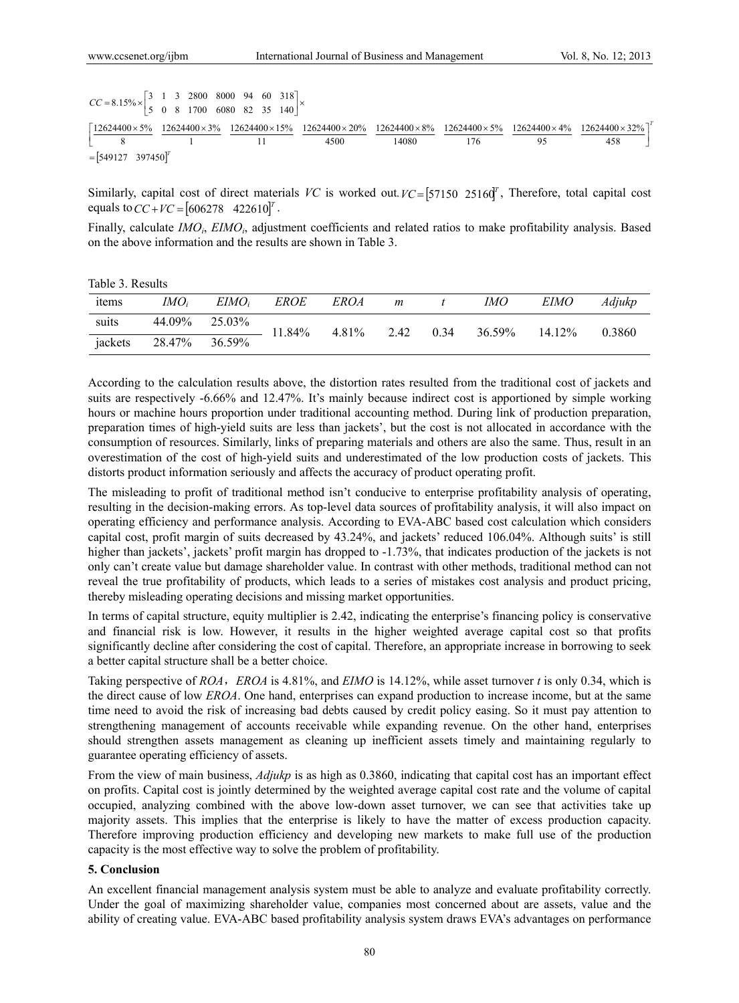$=[549127 \quad 397450]^T$ *T*  $CC = 8.15\% \times \begin{vmatrix} 5 & 0 & 8 & 1700 & 6080 & 82 & 35 & 140 \end{vmatrix}$ 458  $12624400 \times 32\%$ 95  $12624400 \times 4\%$ 176  $12624400 \times 5\%$ 14080  $12624400 \times 8\%$ 4500  $\left[\frac{12624400 \times 5\%}{8}, \frac{12624400 \times 3\%}{1}, \frac{12624400 \times 15\%}{11}, \frac{12624400 \times 20\%}{4500}, \frac{12624400 \times 8\%}{14080}, \frac{12624400 \times 5\%}{176}, \frac{12624400 \times 4\%}{95}, \frac{12624400 \times 32\%}{458}\right]$ 11 1 8  $= 8.15\% \times \begin{bmatrix} 3 & 1 & 3 & 2800 & 8000 & 94 & 60 & 318 \\ 5 & 0 & 8 & 1700 & 6080 & 82 & 35 & 140 \end{bmatrix} \times$ I J L

Similarly, capital cost of direct materials *VC* is worked out  $VC = [57150 \ 25160]$ , Therefore, total capital cost equals to  $CC + VC = [606278 \quad 422610]^{T}$ .

Finally, calculate *IMO<sub>i</sub>*, *EIMO<sub>i</sub>*, adjustment coefficients and related ratios to make profitability analysis. Based on the above information and the results are shown in Table 3.

Table 3. Results

| items   | IMO <sub>i</sub> | EIMO <sub>i</sub> | <i>EROE</i> | <i>EROA</i> | $\boldsymbol{m}$ |      | IМO    | <b>EIMO</b> | Adjukp |
|---------|------------------|-------------------|-------------|-------------|------------------|------|--------|-------------|--------|
| suits   | 44.09%           | 25.03%            | 11.84%      | 4.81%       | 2.42             | 0.34 | 36.59% | 14.12%      | 0.3860 |
| jackets | 28.47% 36.59%    |                   |             |             |                  |      |        |             |        |

According to the calculation results above, the distortion rates resulted from the traditional cost of jackets and suits are respectively -6.66% and 12.47%. It's mainly because indirect cost is apportioned by simple working hours or machine hours proportion under traditional accounting method. During link of production preparation, preparation times of high-yield suits are less than jackets', but the cost is not allocated in accordance with the consumption of resources. Similarly, links of preparing materials and others are also the same. Thus, result in an overestimation of the cost of high-yield suits and underestimated of the low production costs of jackets. This distorts product information seriously and affects the accuracy of product operating profit.

The misleading to profit of traditional method isn't conducive to enterprise profitability analysis of operating, resulting in the decision-making errors. As top-level data sources of profitability analysis, it will also impact on operating efficiency and performance analysis. According to EVA-ABC based cost calculation which considers capital cost, profit margin of suits decreased by 43.24%, and jackets' reduced 106.04%. Although suits' is still higher than jackets', jackets' profit margin has dropped to -1.73%, that indicates production of the jackets is not only can't create value but damage shareholder value. In contrast with other methods, traditional method can not reveal the true profitability of products, which leads to a series of mistakes cost analysis and product pricing, thereby misleading operating decisions and missing market opportunities.

In terms of capital structure, equity multiplier is 2.42, indicating the enterprise's financing policy is conservative and financial risk is low. However, it results in the higher weighted average capital cost so that profits significantly decline after considering the cost of capital. Therefore, an appropriate increase in borrowing to seek a better capital structure shall be a better choice.

Taking perspective of *ROA*,*EROA* is 4.81%, and *EIMO* is 14.12%, while asset turnover *t* is only 0.34, which is the direct cause of low *EROA*. One hand, enterprises can expand production to increase income, but at the same time need to avoid the risk of increasing bad debts caused by credit policy easing. So it must pay attention to strengthening management of accounts receivable while expanding revenue. On the other hand, enterprises should strengthen assets management as cleaning up inefficient assets timely and maintaining regularly to guarantee operating efficiency of assets.

From the view of main business, *Adjukp* is as high as 0.3860, indicating that capital cost has an important effect on profits. Capital cost is jointly determined by the weighted average capital cost rate and the volume of capital occupied, analyzing combined with the above low-down asset turnover, we can see that activities take up majority assets. This implies that the enterprise is likely to have the matter of excess production capacity. Therefore improving production efficiency and developing new markets to make full use of the production capacity is the most effective way to solve the problem of profitability.

## **5. Conclusion**

An excellent financial management analysis system must be able to analyze and evaluate profitability correctly. Under the goal of maximizing shareholder value, companies most concerned about are assets, value and the ability of creating value. EVA-ABC based profitability analysis system draws EVA's advantages on performance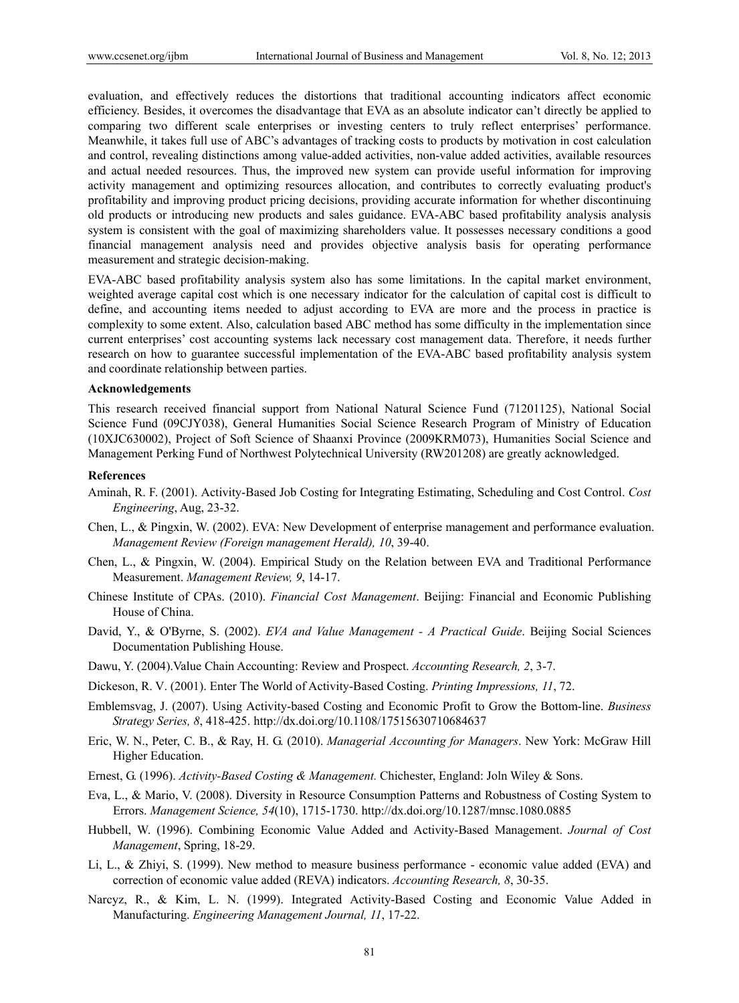evaluation, and effectively reduces the distortions that traditional accounting indicators affect economic efficiency. Besides, it overcomes the disadvantage that EVA as an absolute indicator can't directly be applied to comparing two different scale enterprises or investing centers to truly reflect enterprises' performance. Meanwhile, it takes full use of ABC's advantages of tracking costs to products by motivation in cost calculation and control, revealing distinctions among value-added activities, non-value added activities, available resources and actual needed resources. Thus, the improved new system can provide useful information for improving activity management and optimizing resources allocation, and contributes to correctly evaluating product's profitability and improving product pricing decisions, providing accurate information for whether discontinuing old products or introducing new products and sales guidance. EVA-ABC based profitability analysis analysis system is consistent with the goal of maximizing shareholders value. It possesses necessary conditions a good financial management analysis need and provides objective analysis basis for operating performance measurement and strategic decision-making.

EVA-ABC based profitability analysis system also has some limitations. In the capital market environment, weighted average capital cost which is one necessary indicator for the calculation of capital cost is difficult to define, and accounting items needed to adjust according to EVA are more and the process in practice is complexity to some extent. Also, calculation based ABC method has some difficulty in the implementation since current enterprises' cost accounting systems lack necessary cost management data. Therefore, it needs further research on how to guarantee successful implementation of the EVA-ABC based profitability analysis system and coordinate relationship between parties.

## **Acknowledgements**

This research received financial support from National Natural Science Fund (71201125), National Social Science Fund (09CJY038), General Humanities Social Science Research Program of Ministry of Education (10XJC630002), Project of Soft Science of Shaanxi Province (2009KRM073), Humanities Social Science and Management Perking Fund of Northwest Polytechnical University (RW201208) are greatly acknowledged.

#### **References**

- Aminah, R. F. (2001). Activity-Based Job Costing for Integrating Estimating, Scheduling and Cost Control. *Cost Engineering*, Aug, 23-32.
- Chen, L., & Pingxin, W. (2002). EVA: New Development of enterprise management and performance evaluation. *Management Review (Foreign management Herald), 10*, 39-40.
- Chen, L., & Pingxin, W. (2004). Empirical Study on the Relation between EVA and Traditional Performance Measurement. *Management Review, 9*, 14-17.
- Chinese Institute of CPAs. (2010). *Financial Cost Management*. Beijing: Financial and Economic Publishing House of China.
- David, Y., & O'Byrne, S. (2002). *EVA and Value Management A Practical Guide*. Beijing Social Sciences Documentation Publishing House.
- Dawu, Y. (2004).Value Chain Accounting: Review and Prospect. *Accounting Research, 2*, 3-7.
- Dickeson, R. V. (2001). Enter The World of Activity-Based Costing. *Printing Impressions, 11*, 72.
- Emblemsvag, J. (2007). Using Activity-based Costing and Economic Profit to Grow the Bottom-line. *Business Strategy Series, 8*, 418-425. http://dx.doi.org/10.1108/17515630710684637
- Eric, W. N., Peter, C. B., & Ray, H. G. (2010). *Managerial Accounting for Managers*. New York: McGraw Hill Higher Education.
- Ernest, G. (1996). *Activity-Based Costing & Management.* Chichester, England: Joln Wiley & Sons.
- Eva, L., & Mario, V. (2008). Diversity in Resource Consumption Patterns and Robustness of Costing System to Errors. *Management Science, 54*(10), 1715-1730. http://dx.doi.org/10.1287/mnsc.1080.0885
- Hubbell, W. (1996). Combining Economic Value Added and Activity-Based Management. *Journal of Cost Management*, Spring, 18-29.
- Li, L., & Zhiyi, S. (1999). New method to measure business performance economic value added (EVA) and correction of economic value added (REVA) indicators. *Accounting Research, 8*, 30-35.
- Narcyz, R., & Kim, L. N. (1999). Integrated Activity-Based Costing and Economic Value Added in Manufacturing. *Engineering Management Journal, 11*, 17-22.